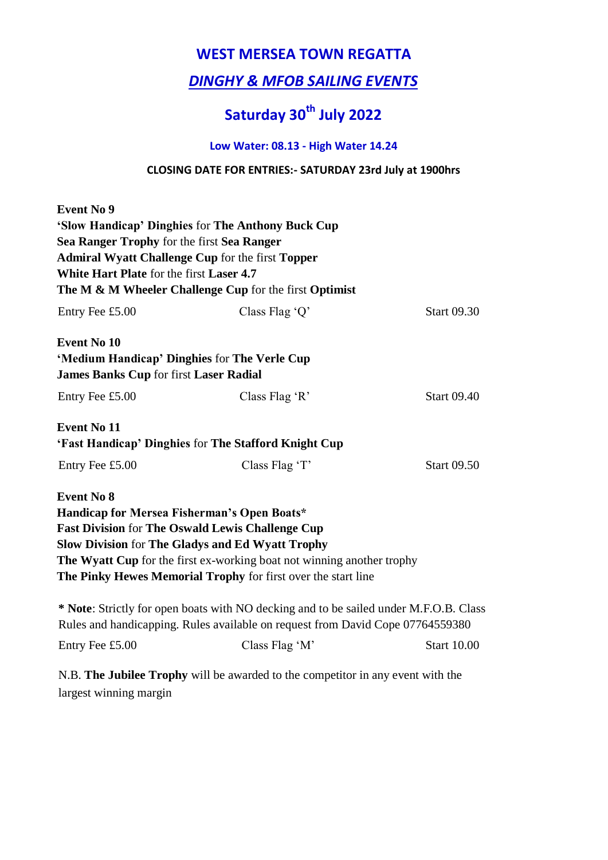### **WEST MERSEA TOWN REGATTA**

### *DINGHY & MFOB SAILING EVENTS*

# **Saturday 30th July 2022**

#### **Low Water: 08.13 - High Water 14.24**

#### **CLOSING DATE FOR ENTRIES:- SATURDAY 23rd July at 1900hrs**

| <b>Event No 9</b>                             |                                                                                       |                    |
|-----------------------------------------------|---------------------------------------------------------------------------------------|--------------------|
|                                               | 'Slow Handicap' Dinghies for The Anthony Buck Cup                                     |                    |
| Sea Ranger Trophy for the first Sea Ranger    |                                                                                       |                    |
|                                               | <b>Admiral Wyatt Challenge Cup for the first Topper</b>                               |                    |
| White Hart Plate for the first Laser 4.7      |                                                                                       |                    |
|                                               | The M & M Wheeler Challenge Cup for the first Optimist                                |                    |
| Entry Fee £5.00                               | Class Flag $Q'$                                                                       | <b>Start 09.30</b> |
| <b>Event No 10</b>                            |                                                                                       |                    |
| 'Medium Handicap' Dinghies for The Verle Cup  |                                                                                       |                    |
| <b>James Banks Cup for first Laser Radial</b> |                                                                                       |                    |
| Entry Fee £5.00                               | Class Flag 'R'                                                                        | <b>Start 09.40</b> |
| <b>Event No 11</b>                            |                                                                                       |                    |
|                                               | 'Fast Handicap' Dinghies for The Stafford Knight Cup                                  |                    |
| Entry Fee £5.00                               | Class Flag 'T'                                                                        | <b>Start 09.50</b> |
| <b>Event No 8</b>                             |                                                                                       |                    |
| Handicap for Mersea Fisherman's Open Boats*   |                                                                                       |                    |
|                                               | <b>Fast Division for The Oswald Lewis Challenge Cup</b>                               |                    |
|                                               | <b>Slow Division for The Gladys and Ed Wyatt Trophy</b>                               |                    |
|                                               | The Wyatt Cup for the first ex-working boat not winning another trophy                |                    |
|                                               | The Pinky Hewes Memorial Trophy for first over the start line                         |                    |
|                                               | * Note: Strictly for open boats with NO decking and to be sailed under M.F.O.B. Class |                    |
|                                               | Rules and handicapping. Rules available on request from David Cope 07764559380        |                    |
| Entry Fee £5.00                               | Class Flag 'M'                                                                        | <b>Start 10.00</b> |

N.B. **The Jubilee Trophy** will be awarded to the competitor in any event with the largest winning margin